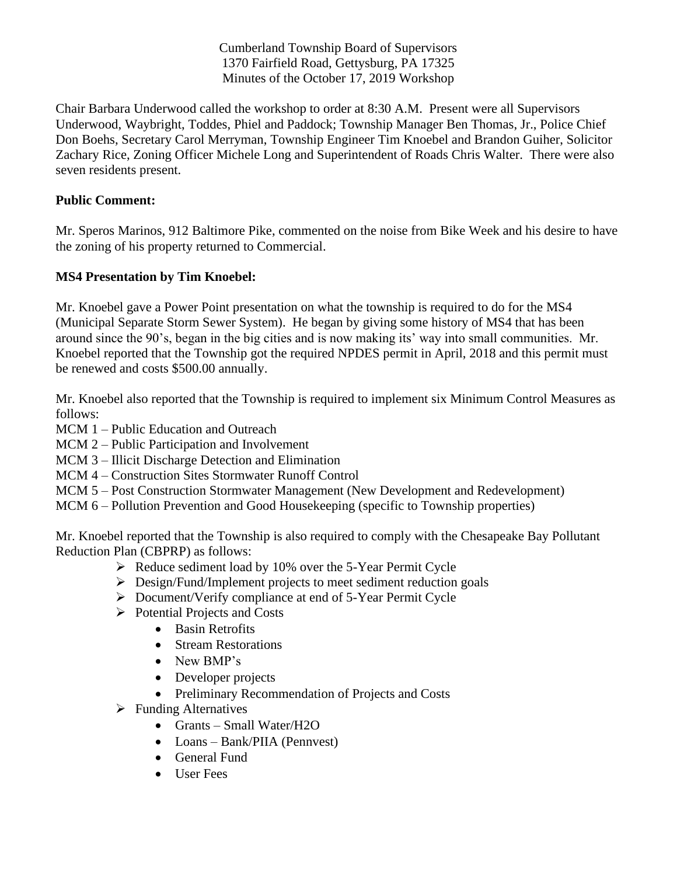Cumberland Township Board of Supervisors 1370 Fairfield Road, Gettysburg, PA 17325 Minutes of the October 17, 2019 Workshop

Chair Barbara Underwood called the workshop to order at 8:30 A.M. Present were all Supervisors Underwood, Waybright, Toddes, Phiel and Paddock; Township Manager Ben Thomas, Jr., Police Chief Don Boehs, Secretary Carol Merryman, Township Engineer Tim Knoebel and Brandon Guiher, Solicitor Zachary Rice, Zoning Officer Michele Long and Superintendent of Roads Chris Walter. There were also seven residents present.

## **Public Comment:**

Mr. Speros Marinos, 912 Baltimore Pike, commented on the noise from Bike Week and his desire to have the zoning of his property returned to Commercial.

## **MS4 Presentation by Tim Knoebel:**

Mr. Knoebel gave a Power Point presentation on what the township is required to do for the MS4 (Municipal Separate Storm Sewer System). He began by giving some history of MS4 that has been around since the 90's, began in the big cities and is now making its' way into small communities. Mr. Knoebel reported that the Township got the required NPDES permit in April, 2018 and this permit must be renewed and costs \$500.00 annually.

Mr. Knoebel also reported that the Township is required to implement six Minimum Control Measures as follows:

- MCM 1 Public Education and Outreach
- MCM 2 Public Participation and Involvement
- MCM 3 Illicit Discharge Detection and Elimination
- MCM 4 Construction Sites Stormwater Runoff Control
- MCM 5 Post Construction Stormwater Management (New Development and Redevelopment)
- MCM 6 Pollution Prevention and Good Housekeeping (specific to Township properties)

Mr. Knoebel reported that the Township is also required to comply with the Chesapeake Bay Pollutant Reduction Plan (CBPRP) as follows:

- ➢ Reduce sediment load by 10% over the 5-Year Permit Cycle
- ➢ Design/Fund/Implement projects to meet sediment reduction goals
- ➢ Document/Verify compliance at end of 5-Year Permit Cycle
- ➢ Potential Projects and Costs
	- Basin Retrofits
	- Stream Restorations
	- New BMP's
	- Developer projects
	- Preliminary Recommendation of Projects and Costs
- ➢ Funding Alternatives
	- Grants Small Water/H2O
	- Loans Bank/PIIA (Pennvest)
	- General Fund
	- User Fees